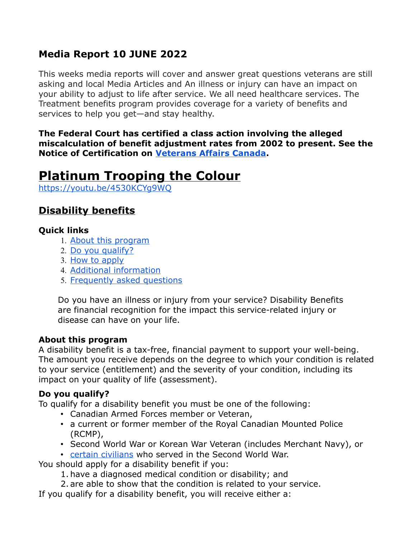## **Media Report 10 JUNE 2022**

This weeks media reports will cover and answer great questions veterans are still asking and local Media Articles and An illness or injury can have an impact on your ability to adjust to life after service. We all need healthcare services. The Treatment benefits program provides coverage for a variety of benefits and services to help you get—and stay healthy.

**The Federal Court has certified a class action involving the alleged miscalculation of benefit adjustment rates from 2002 to present. See the Notice of Certification on [Veterans Affairs Canada.](https://www.veterans.gc.ca/eng/about-vac/news-media/alerts/class-action-certification)**

## **Platinum Trooping the Colour**

<https://youtu.be/4530KCYg9WQ>

## **Disability benefits**

## **Quick links**

- 1. [About this program](https://www.veterans.gc.ca/eng/health-support/physical-health-and-wellness/compensation-illness-injury/disability-benefits#01)
- 2. [Do you qualify?](https://www.veterans.gc.ca/eng/health-support/physical-health-and-wellness/compensation-illness-injury/disability-benefits#02)
- 3. [How to apply](https://www.veterans.gc.ca/eng/health-support/physical-health-and-wellness/compensation-illness-injury/disability-benefits#03)
- 4. [Additional information](https://www.veterans.gc.ca/eng/health-support/physical-health-and-wellness/compensation-illness-injury/disability-benefits#04)
- 5. [Frequently asked questions](https://www.veterans.gc.ca/eng/health-support/physical-health-and-wellness/compensation-illness-injury/disability-benefits#05)

Do you have an illness or injury from your service? Disability Benefits are financial recognition for the impact this service-related injury or disease can have on your life.

## **About this program**

A disability benefit is a tax-free, financial payment to support your well-being. The amount you receive depends on the degree to which your condition is related to your service (entitlement) and the severity of your condition, including its impact on your quality of life (assessment).

## **Do you qualify?**

To qualify for a disability benefit you must be one of the following:

- Canadian Armed Forces member or Veteran,
- a current or former member of the Royal Canadian Mounted Police (RCMP),
- Second World War or Korean War Veteran (includes Merchant Navy), or
- [certain civilians](https://www.veterans.gc.ca/eng/health-support/physical-health-and-wellness/compensation-illness-injury/disability-benefits/civilians) who served in the Second World War.

You should apply for a disability benefit if you:

- 1. have a diagnosed medical condition or disability; and
- 2. are able to show that the condition is related to your service.
- If you qualify for a disability benefit, you will receive either a: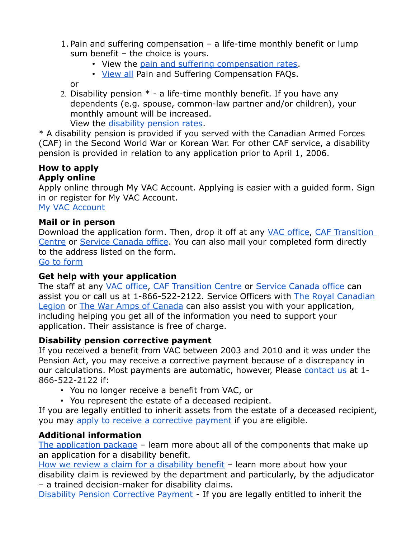- 1. Pain and suffering compensation a life-time monthly benefit or lump sum benefit – the choice is yours.
	- View the [pain and suffering compensation rates.](https://www.veterans.gc.ca/eng/resources/rates#psc)
	- [View all](https://www.veterans.gc.ca/eng/services/pension-for-life/q-and-a#a3) Pain and Suffering Compensation FAQs.

or

2. Disability pension  $*$  - a life-time monthly benefit. If you have any dependents (e.g. spouse, common-law partner and/or children), your monthly amount will be increased.

View the [disability pension rates.](https://www.veterans.gc.ca/eng/resources/rates#dispen)

\* A disability pension is provided if you served with the Canadian Armed Forces (CAF) in the Second World War or Korean War. For other CAF service, a disability pension is provided in relation to any application prior to April 1, 2006.

#### **How to apply Apply online**

Apply online through My VAC Account. Applying is easier with a guided form. Sign in or register for My VAC Account. [My VAC Account](https://www.veterans.gc.ca/eng/e_services)

#### **Mail or in person**

Download the application form. Then, drop it off at any [VAC office,](https://www.veterans.gc.ca/eng/contact) [CAF Transition](https://www.veterans.gc.ca/eng/resources/transition-centre)  [Centre](https://www.veterans.gc.ca/eng/resources/transition-centre) or [Service Canada office.](https://www.veterans.gc.ca/eng/contact) You can also mail your completed form directly to the address listed on the form.

[Go to form](https://www.veterans.gc.ca/eng/forms/document/616)

## **Get help with your application**

The staff at any [VAC office,](https://www.veterans.gc.ca/eng/contact) [CAF Transition Centre](https://www.veterans.gc.ca/eng/resources/transition-centre) or [Service Canada office](https://www.veterans.gc.ca/eng/contact) can assist you or call us at 1-866-522-2122. Service Officers with [The Royal Canadian](http://www.legion.ca/we-can-help/contact-a-service-officer/) [Legion](http://www.legion.ca/we-can-help/contact-a-service-officer/) or [The War Amps of Canada](http://www.waramps.ca/) can also assist you with your application, including helping you get all of the information you need to support your application. Their assistance is free of charge.

## **Disability pension corrective payment**

If you received a benefit from VAC between 2003 and 2010 and it was under the Pension Act, you may receive a corrective payment because of a discrepancy in our calculations. Most payments are automatic, however, Please [contact us](https://www.veterans.gc.ca/eng/contact) at 1-866-522-2122 if:

- You no longer receive a benefit from VAC, or
- You represent the estate of a deceased recipient.

If you are legally entitled to inherit assets from the estate of a deceased recipient, you may [apply to receive a corrective payment](https://dpca-rcpi.vac-acc.gc.ca/dpca/public/login) if you are eligible.

## **Additional information**

[The application package](https://www.veterans.gc.ca/eng/art-hub/what-to-include) – learn more about all of the components that make up an application for a disability benefit.

[How we review a claim for a disability benefit](https://www.veterans.gc.ca/eng/art-hub/disability-benefits-review-claim) – learn more about how your disability claim is reviewed by the department and particularly, by the adjudicator – a trained decision-maker for disability claims.

[Disability Pension Corrective Payment](https://www.veterans.gc.ca/eng/help/faq/disability-pension-correct-pay) - If you are legally entitled to inherit the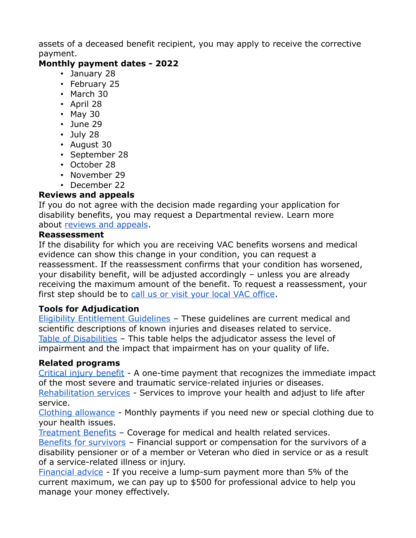assets of a deceased benefit recipient, you may apply to receive the corrective payment.

## **Monthly payment dates - 2022**

- January 28
- February 25
- March 30
- April 28
- May 30
- June 29
- July 28
- August 30
- September 28
- October 28
- November 29
- December 22

## **Reviews and appeals**

If you do not agree with the decision made regarding your application for disability benefits, you may request a Departmental review. Learn more about [reviews and appeals.](https://www.veterans.gc.ca/eng/veterans-rights/how-to-appeal)

## **Reassessment**

If the disability for which you are receiving VAC benefits worsens and medical evidence can show this change in your condition, you can request a reassessment. If the reassessment confirms that your condition has worsened, your disability benefit, will be adjusted accordingly – unless you are already receiving the maximum amount of the benefit. To request a reassessment, your first step should be to [call us or visit your local VAC office.](https://www.veterans.gc.ca/eng/contact)

## **Tools for Adjudication**

[Eligibility Entitlement Guidelines](https://www.veterans.gc.ca/eng/health-support/physical-health-and-wellness/compensation-illness-injury/disability-benefits/benefits-determined/entitlement-eligibility-guidelines/az-intro) – These guidelines are current medical and scientific descriptions of known injuries and diseases related to service. [Table of Disabilities](https://www.veterans.gc.ca/eng/health-support/physical-health-and-wellness/compensation-illness-injury/disability-benefits/benefits-determined/table-of-disabilities) – This table helps the adjudicator assess the level of impairment and the impact that impairment has on your quality of life.

## **Related programs**

[Critical injury benefit](https://www.veterans.gc.ca/eng/financial-support/compensation-illness-injury/critical-injury-benefit) - A one-time payment that recognizes the immediate impact of the most severe and traumatic service-related injuries or diseases.

[Rehabilitation services](https://www.veterans.gc.ca/eng/health-support/physical-health-and-wellness/rehabilitation-services) - Services to improve your health and adjust to life after service.

[Clothing allowance](https://www.veterans.gc.ca/eng/health-support/physical-health-and-wellness/compensation-illness-injury/clothing-allowance) - Monthly payments if you need new or special clothing due to your health issues.

[Treatment Benefits](https://www.veterans.gc.ca/eng/financial-support/medical-costs/treatment-benefits) – Coverage for medical and health related services.

[Benefits for survivors](https://www.veterans.gc.ca/eng/family-caregiver/death-and-bereavement) – Financial support or compensation for the survivors of a disability pensioner or of a member or Veteran who died in service or as a result of a service-related illness or injury.

[Financial advice](https://www.veterans.gc.ca/eng/financial-support/financial-planning/financial-advice) - If you receive a lump-sum payment more than 5% of the current maximum, we can pay up to \$500 for professional advice to help you manage your money effectively.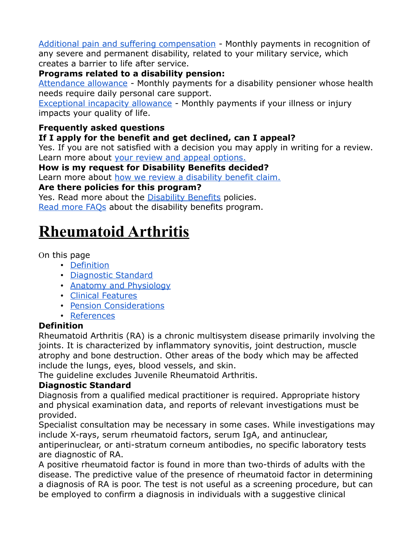[Additional pain and suffering compensation](https://www.veterans.gc.ca/eng/financial-support/income-support/additional-pain-suffering) - Monthly payments in recognition of any severe and permanent disability, related to your military service, which creates a barrier to life after service.

## **Programs related to a disability pension:**

[Attendance allowance](https://www.veterans.gc.ca/eng/health-support/physical-health-and-wellness/compensation-illness-injury/attendance-allowance) - Monthly payments for a disability pensioner whose health needs require daily personal care support.

[Exceptional incapacity allowance](https://www.veterans.gc.ca/eng/health-support/physical-health-and-wellness/compensation-illness-injury/exceptional-incapacity-allowance) - Monthly payments if your illness or injury impacts your quality of life.

## **Frequently asked questions**

## **If I apply for the benefit and get declined, can I appeal?**

Yes. If you are not satisfied with a decision you may apply in writing for a review. Learn more about [your review and appeal options.](https://www.veterans.gc.ca/eng/veterans-rights/how-to-appeal)

**How is my request for Disability Benefits decided?**

Learn more about [how we review a disability benefit claim.](https://www.veterans.gc.ca/eng/art-hub/disability-benefits-review-claim)

## **Are there policies for this program?**

Yes. Read more about the [Disability Benefits](https://www.veterans.gc.ca/eng/about-vac/legislation-policies/policies) policies. [Read more FAQs](https://www.veterans.gc.ca/eng/health-support/physical-health-and-wellness/compensation-illness-injury/disability-benefits/faq) about the disability benefits program.

# **Rheumatoid Arthritis**

## On this page

- [Definition](https://www.veterans.gc.ca/eng/health-support/physical-health-and-wellness/compensation-illness-injury/disability-benefits/benefits-determined/entitlement-eligibility-guidelines/rheumarth#def)
- [Diagnostic Standard](https://www.veterans.gc.ca/eng/health-support/physical-health-and-wellness/compensation-illness-injury/disability-benefits/benefits-determined/entitlement-eligibility-guidelines/rheumarth#dia)
- [Anatomy and Physiology](https://www.veterans.gc.ca/eng/health-support/physical-health-and-wellness/compensation-illness-injury/disability-benefits/benefits-determined/entitlement-eligibility-guidelines/rheumarth#ana)
- [Clinical Features](https://www.veterans.gc.ca/eng/health-support/physical-health-and-wellness/compensation-illness-injury/disability-benefits/benefits-determined/entitlement-eligibility-guidelines/rheumarth#cli)
- [Pension Considerations](https://www.veterans.gc.ca/eng/health-support/physical-health-and-wellness/compensation-illness-injury/disability-benefits/benefits-determined/entitlement-eligibility-guidelines/rheumarth#pen)
- [References](https://www.veterans.gc.ca/eng/health-support/physical-health-and-wellness/compensation-illness-injury/disability-benefits/benefits-determined/entitlement-eligibility-guidelines/rheumarth#ref)

## **Definition**

Rheumatoid Arthritis (RA) is a chronic multisystem disease primarily involving the joints. It is characterized by inflammatory synovitis, joint destruction, muscle atrophy and bone destruction. Other areas of the body which may be affected include the lungs, eyes, blood vessels, and skin.

The guideline excludes Juvenile Rheumatoid Arthritis.

## **Diagnostic Standard**

Diagnosis from a qualified medical practitioner is required. Appropriate history and physical examination data, and reports of relevant investigations must be provided.

Specialist consultation may be necessary in some cases. While investigations may include X-rays, serum rheumatoid factors, serum IgA, and antinuclear,

antiperinuclear, or anti-stratum corneum antibodies, no specific laboratory tests are diagnostic of RA.

A positive rheumatoid factor is found in more than two-thirds of adults with the disease. The predictive value of the presence of rheumatoid factor in determining a diagnosis of RA is poor. The test is not useful as a screening procedure, but can be employed to confirm a diagnosis in individuals with a suggestive clinical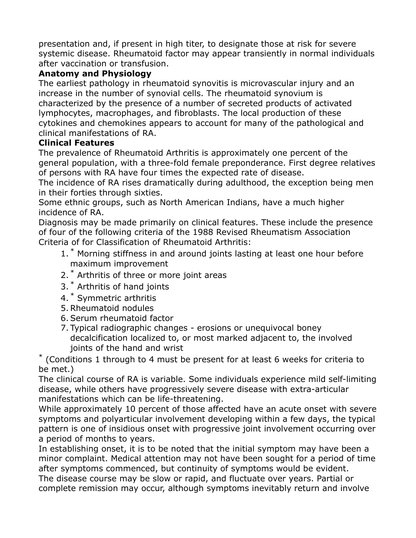presentation and, if present in high titer, to designate those at risk for severe systemic disease. Rheumatoid factor may appear transiently in normal individuals after vaccination or transfusion.

## **Anatomy and Physiology**

The earliest pathology in rheumatoid synovitis is microvascular injury and an increase in the number of synovial cells. The rheumatoid synovium is characterized by the presence of a number of secreted products of activated lymphocytes, macrophages, and fibroblasts. The local production of these cytokines and chemokines appears to account for many of the pathological and clinical manifestations of RA.

## **Clinical Features**

The prevalence of Rheumatoid Arthritis is approximately one percent of the general population, with a three-fold female preponderance. First degree relatives of persons with RA have four times the expected rate of disease.

The incidence of RA rises dramatically during adulthood, the exception being men in their forties through sixties.

Some ethnic groups, such as North American Indians, have a much higher incidence of RA.

Diagnosis may be made primarily on clinical features. These include the presence of four of the following criteria of the 1988 Revised Rheumatism Association Criteria of for Classification of Rheumatoid Arthritis:

- 1.<sup>\*</sup> Morning stiffness in and around joints lasting at least one hour before maximum improvement
- 2.<sup>\*</sup> Arthritis of three or more joint areas
- 3. \* Arthritis of hand joints
- 4. \* Symmetric arthritis
- 5. Rheumatoid nodules
- 6. Serum rheumatoid factor
- 7. Typical radiographic changes erosions or unequivocal boney decalcification localized to, or most marked adjacent to, the involved joints of the hand and wrist

\* (Conditions 1 through to 4 must be present for at least 6 weeks for criteria to be met.)

The clinical course of RA is variable. Some individuals experience mild self-limiting disease, while others have progressively severe disease with extra-articular manifestations which can be life-threatening.

While approximately 10 percent of those affected have an acute onset with severe symptoms and polyarticular involvement developing within a few days, the typical pattern is one of insidious onset with progressive joint involvement occurring over a period of months to years.

In establishing onset, it is to be noted that the initial symptom may have been a minor complaint. Medical attention may not have been sought for a period of time after symptoms commenced, but continuity of symptoms would be evident. The disease course may be slow or rapid, and fluctuate over years. Partial or complete remission may occur, although symptoms inevitably return and involve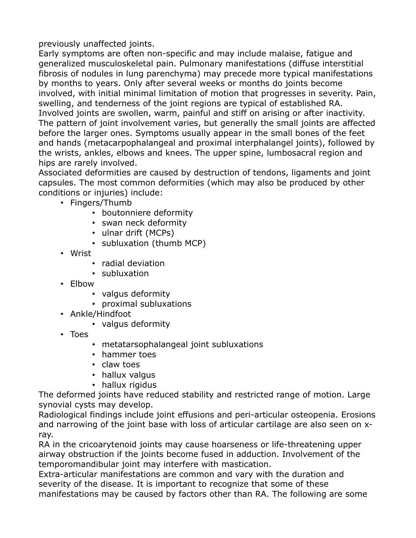previously unaffected joints.

Early symptoms are often non-specific and may include malaise, fatigue and generalized musculoskeletal pain. Pulmonary manifestations (diffuse interstitial fibrosis of nodules in lung parenchyma) may precede more typical manifestations by months to years. Only after several weeks or months do joints become involved, with initial minimal limitation of motion that progresses in severity. Pain, swelling, and tenderness of the joint regions are typical of established RA. Involved joints are swollen, warm, painful and stiff on arising or after inactivity. The pattern of joint involvement varies, but generally the small joints are affected before the larger ones. Symptoms usually appear in the small bones of the feet and hands (metacarpophalangeal and proximal interphalangel joints), followed by the wrists, ankles, elbows and knees. The upper spine, lumbosacral region and hips are rarely involved.

Associated deformities are caused by destruction of tendons, ligaments and joint capsules. The most common deformities (which may also be produced by other conditions or injuries) include:

- Fingers/Thumb
	- boutonniere deformity
	- swan neck deformity
	- ulnar drift (MCPs)
	- subluxation (thumb MCP)
- Wrist
	- radial deviation
	- subluxation
- Elbow
	- valgus deformity
	- proximal subluxations
- Ankle/Hindfoot
	- valgus deformity
- Toes
	- metatarsophalangeal joint subluxations
	- hammer toes
	- claw toes
	- hallux valgus
	- hallux rigidus

The deformed joints have reduced stability and restricted range of motion. Large synovial cysts may develop.

Radiological findings include joint effusions and peri-articular osteopenia. Erosions and narrowing of the joint base with loss of articular cartilage are also seen on xray.

RA in the cricoarytenoid joints may cause hoarseness or life-threatening upper airway obstruction if the joints become fused in adduction. Involvement of the temporomandibular joint may interfere with mastication.

Extra-articular manifestations are common and vary with the duration and severity of the disease. It is important to recognize that some of these manifestations may be caused by factors other than RA. The following are some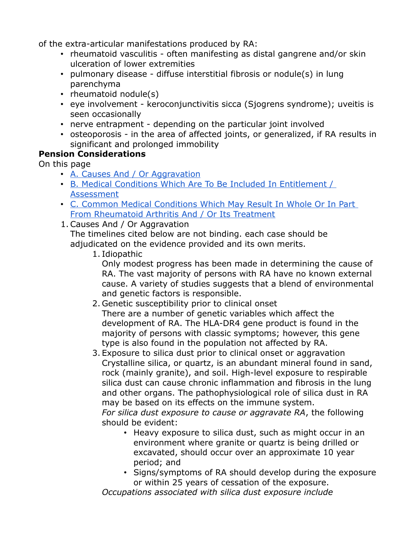of the extra-articular manifestations produced by RA:

- rheumatoid vasculitis often manifesting as distal gangrene and/or skin ulceration of lower extremities
- pulmonary disease diffuse interstitial fibrosis or nodule(s) in lung parenchyma
- rheumatoid nodule(s)
- eye involvement keroconjunctivitis sicca (Sjogrens syndrome); uveitis is seen occasionally
- nerve entrapment depending on the particular joint involved
- osteoporosis in the area of affected joints, or generalized, if RA results in significant and prolonged immobility

## **Pension Considerations**

On this page

- [A. Causes And / Or Aggravation](https://www.veterans.gc.ca/eng/health-support/physical-health-and-wellness/compensation-illness-injury/disability-benefits/benefits-determined/entitlement-eligibility-guidelines/rheumarth#cause)
- [B. Medical Conditions Which Are To Be Included In Entitlement /](https://www.veterans.gc.ca/eng/health-support/physical-health-and-wellness/compensation-illness-injury/disability-benefits/benefits-determined/entitlement-eligibility-guidelines/rheumarth#condition)  [Assessment](https://www.veterans.gc.ca/eng/health-support/physical-health-and-wellness/compensation-illness-injury/disability-benefits/benefits-determined/entitlement-eligibility-guidelines/rheumarth#condition)
- [C. Common Medical Conditions Which May Result In Whole Or In Part](https://www.veterans.gc.ca/eng/health-support/physical-health-and-wellness/compensation-illness-injury/disability-benefits/benefits-determined/entitlement-eligibility-guidelines/rheumarth#treat)  [From Rheumatoid Arthritis And / Or Its Treatment](https://www.veterans.gc.ca/eng/health-support/physical-health-and-wellness/compensation-illness-injury/disability-benefits/benefits-determined/entitlement-eligibility-guidelines/rheumarth#treat)
- 1. Causes And / Or Aggravation

The timelines cited below are not binding. each case should be adjudicated on the evidence provided and its own merits.

1. Idiopathic

Only modest progress has been made in determining the cause of RA. The vast majority of persons with RA have no known external cause. A variety of studies suggests that a blend of environmental and genetic factors is responsible.

- 2. Genetic susceptibility prior to clinical onset There are a number of genetic variables which affect the development of RA. The HLA-DR4 gene product is found in the majority of persons with classic symptoms; however, this gene type is also found in the population not affected by RA.
- 3. Exposure to silica dust prior to clinical onset or aggravation Crystalline silica, or quartz, is an abundant mineral found in sand, rock (mainly granite), and soil. High-level exposure to respirable silica dust can cause chronic inflammation and fibrosis in the lung and other organs. The pathophysiological role of silica dust in RA may be based on its effects on the immune system.

*For silica dust exposure to cause or aggravate RA*, the following should be evident:

- Heavy exposure to silica dust, such as might occur in an environment where granite or quartz is being drilled or excavated, should occur over an approximate 10 year period; and
- Signs/symptoms of RA should develop during the exposure or within 25 years of cessation of the exposure.

*Occupations associated with silica dust exposure include*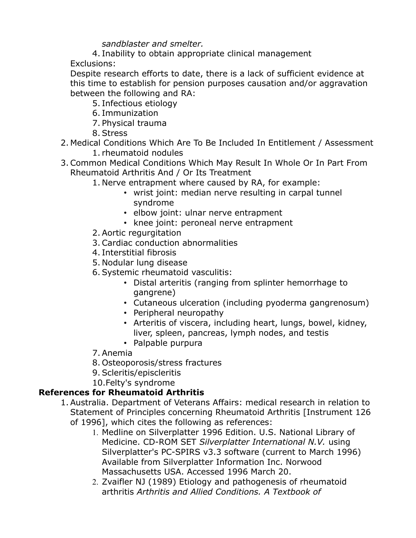## *sandblaster and smelter.*

- 4. Inability to obtain appropriate clinical management
- Exclusions:

Despite research efforts to date, there is a lack of sufficient evidence at this time to establish for pension purposes causation and/or aggravation between the following and RA:

- 5. Infectious etiology
- 6. Immunization
- 7. Physical trauma
- 8. Stress
- 2. Medical Conditions Which Are To Be Included In Entitlement / Assessment
	- 1. rheumatoid nodules
- 3. Common Medical Conditions Which May Result In Whole Or In Part From Rheumatoid Arthritis And / Or Its Treatment
	- 1. Nerve entrapment where caused by RA, for example:
		- wrist joint: median nerve resulting in carpal tunnel syndrome
		- elbow joint: ulnar nerve entrapment
		- knee joint: peroneal nerve entrapment
	- 2. Aortic regurgitation
	- 3. Cardiac conduction abnormalities
	- 4. Interstitial fibrosis
	- 5. Nodular lung disease
	- 6. Systemic rheumatoid vasculitis:
		- Distal arteritis (ranging from splinter hemorrhage to gangrene)
		- Cutaneous ulceration (including pyoderma gangrenosum)
		- Peripheral neuropathy
		- Arteritis of viscera, including heart, lungs, bowel, kidney, liver, spleen, pancreas, lymph nodes, and testis
		- Palpable purpura
	- 7. Anemia
	- 8. Osteoporosis/stress fractures
	- 9. Scleritis/episcleritis
	- 10.Felty's syndrome

## **References for Rheumatoid Arthritis**

- 1. Australia. Department of Veterans Affairs: medical research in relation to Statement of Principles concerning Rheumatoid Arthritis [Instrument 126 of 1996], which cites the following as references:
	- 1. Medline on Silverplatter 1996 Edition. U.S. National Library of Medicine. CD-ROM SET *Silverplatter International N.V.* using Silverplatter's PC-SPIRS v3.3 software (current to March 1996) Available from Silverplatter Information Inc. Norwood Massachusetts USA. Accessed 1996 March 20.
	- 2. Zvaifler NJ (1989) Etiology and pathogenesis of rheumatoid arthritis *Arthritis and Allied Conditions. A Textbook of*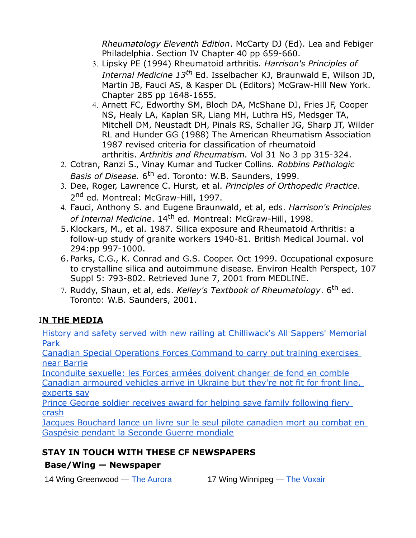*Rheumatology Eleventh Edition*. McCarty DJ (Ed). Lea and Febiger Philadelphia. Section IV Chapter 40 pp 659-660.

- 3. Lipsky PE (1994) Rheumatoid arthritis. *Harrison's Principles of Internal Medicine 13th* Ed. Isselbacher KJ, Braunwald E, Wilson JD, Martin JB, Fauci AS, & Kasper DL (Editors) McGraw-Hill New York. Chapter 285 pp 1648-1655.
- 4. Arnett FC, Edworthy SM, Bloch DA, McShane DJ, Fries JF, Cooper NS, Healy LA, Kaplan SR, Liang MH, Luthra HS, Medsger TA, Mitchell DM, Neustadt DH, Pinals RS, Schaller JG, Sharp JT, Wilder RL and Hunder GG (1988) The American Rheumatism Association 1987 revised criteria for classification of rheumatoid arthritis. *Arthritis and Rheumatism.* Vol 31 No 3 pp 315-324.
- 2. Cotran, Ranzi S., Vinay Kumar and Tucker Collins. *Robbins Pathologic*  Basis of Disease. 6<sup>th</sup> ed. Toronto: W.B. Saunders, 1999.
- 3. Dee, Roger, Lawrence C. Hurst, et al. *Principles of Orthopedic Practice*. 2<sup>nd</sup> ed. Montreal: McGraw-Hill, 1997.
- 4. Fauci, Anthony S. and Eugene Braunwald, et al, eds. *Harrison's Principles of Internal Medicine*. 14th ed. Montreal: McGraw-Hill, 1998.
- 5. Klockars, M., et al. 1987. Silica exposure and Rheumatoid Arthritis: a follow-up study of granite workers 1940-81. British Medical Journal. vol 294:pp 997-1000.
- 6. Parks, C.G., K. Conrad and G.S. Cooper. Oct 1999. Occupational exposure to crystalline silica and autoimmune disease. Environ Health Perspect, 107 Suppl 5: 793-802. Retrieved June 7, 2001 from MEDLINE.
- 7. Ruddy, Shaun, et al, eds. *Kelley's Textbook of Rheumatology*. 6th ed. Toronto: W.B. Saunders, 2001.

## I**N THE MEDIA**

[History and safety served with new railing at Chilliwack's All Sappers' Memorial](http://sm1.multiview.com/t/gcH1AAhbaBPWOCCiQMIByC2NiEJaaDJyQA4IeaaaaDJyBRJUD-qaa?m=0XkUyTulmblek~25x7Ules.glm~amp;k=mlWikhgzYpXsW~25BtiXse.uX0~amp;e=Ik~amp;4=)  [Park](http://sm1.multiview.com/t/gcH1AAhbaBPWOCCiQMIByC2NiEJaaDJyQA4IeaaaaDJyBRJUD-qaa?m=0XkUyTulmblek~25x7Ules.glm~amp;k=mlWikhgzYpXsW~25BtiXse.uX0~amp;e=Ik~amp;4=)

[Canadian Special Operations Forces Command to carry out training exercises](http://sm1.multiview.com/t/gcH1AAhbaBPWOCCiQMIByC2NiEJaaDJyQA4IeaaaaDJyBRJUD-qaa?m=0XkUyTulmblek~25x7Ules.glm~amp;k=mlWikhgzYpXsW~25BtiXse.uX0~amp;e=k~amp;q=)  [near Barrie](http://sm1.multiview.com/t/gcH1AAhbaBPWOCCiQMIByC2NiEJaaDJyQA4IeaaaaDJyBRJUD-qaa?m=0XkUyTulmblek~25x7Ules.glm~amp;k=mlWikhgzYpXsW~25BtiXse.uX0~amp;e=k~amp;q=)

[Inconduite sexuelle: les Forces armées doivent changer de fond en comble](http://sm1.multiview.com/t/gcH1AAhbaBPWOCCiQMIByC2NiEJaaDJyQA4IeaaaaDJyBRJUD-qaa?m=0XkUyTulmblek~25x7Ules.glm~amp;k=mlWikhgzYpXsW~25BtiXse.uX0~amp;e=m~amp;q=) [Canadian armoured vehicles arrive in Ukraine but they're not fit for front line,](http://sm1.multiview.com/t/gcH1AAhbaBPWOCCiQMIByC2NiEJaaDJyQA4IeaaaaDJyBRJUD-qaa?m=0XkUyTulmblek~25x7Ules.glm~amp;k=mlWikhgzYpXsW~25BtiXse.uX0~amp;e=o~amp;q=)  [experts say](http://sm1.multiview.com/t/gcH1AAhbaBPWOCCiQMIByC2NiEJaaDJyQA4IeaaaaDJyBRJUD-qaa?m=0XkUyTulmblek~25x7Ules.glm~amp;k=mlWikhgzYpXsW~25BtiXse.uX0~amp;e=o~amp;q=)

[Prince George soldier receives award for helping save family following fiery](http://sm1.multiview.com/t/gcH1AAhbaBPWOCCiQMIByC2NiEJaaDJyQA4IeaaaaDJyBRJUD-qaa?m=0XkUyTulmblek~25x7Ules.glm~amp;k=mlWikhgzYpXsW~25BtiXse.uX0~amp;e=i~amp;q=)  [crash](http://sm1.multiview.com/t/gcH1AAhbaBPWOCCiQMIByC2NiEJaaDJyQA4IeaaaaDJyBRJUD-qaa?m=0XkUyTulmblek~25x7Ules.glm~amp;k=mlWikhgzYpXsW~25BtiXse.uX0~amp;e=i~amp;q=)

[Jacques Bouchard lance un livre sur le seul pilote canadien mort au combat en](http://sm1.multiview.com/t/gcH1AAhbaBPWOCCiQMIByC2NiEJaaDJyQA4IeaaaaDJyBRJUD-qaa?m=0XkUyTulmblek~25x7Ules.glm~amp;k=mlWikhgzYpXsW~25BtiXse.uX0~amp;e=r~amp;q=)  [Gaspésie pendant la Seconde Guerre mondiale](http://sm1.multiview.com/t/gcH1AAhbaBPWOCCiQMIByC2NiEJaaDJyQA4IeaaaaDJyBRJUD-qaa?m=0XkUyTulmblek~25x7Ules.glm~amp;k=mlWikhgzYpXsW~25BtiXse.uX0~amp;e=r~amp;q=)

## **STAY IN TOUCH WITH THESE CF NEWSPAPERS**

## **Base/Wing — Newspaper**

14 Wing Greenwood — [The Aurora](http://sm1.multiview.com/t/gcH1AAhbaBPWOCCiQMIByC2NiEJaaDJyQA4IeaaaaDJyBRJUD-qaa?m=0XkUyTulmblek~25x7Ules.glm~amp;k=mlWikhgzYpXsW~25BtiXse.uX0~amp;e=v~amp;q=) 17 Wing Winnipeg — [The Voxair](http://sm1.multiview.com/t/gcH1AAhbaBPWOCCiQMIByC2NiEJaaDJyQA4IeaaaaDJyBRJUD-qaa?m=0XkUyTulmblek~25x7Ules.glm~amp;k=mlWikhgzYpXsW~25BtiXse.uX0~amp;e=w~amp;q=)